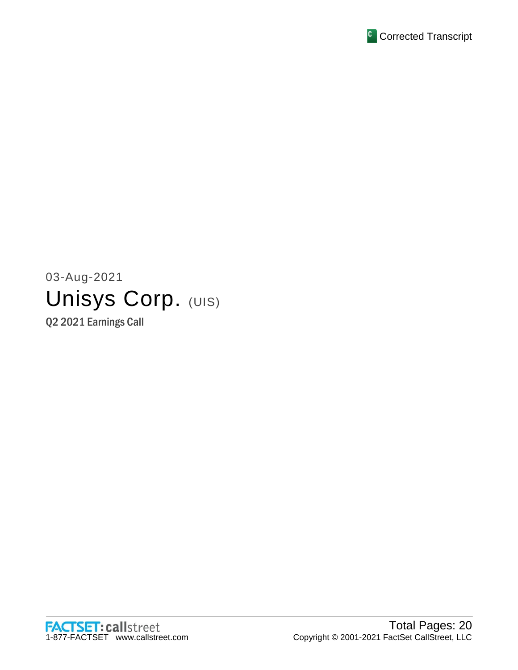

# 03-Aug-2021 Unisys Corp. (UIS)

Q2 2021 Earnings Call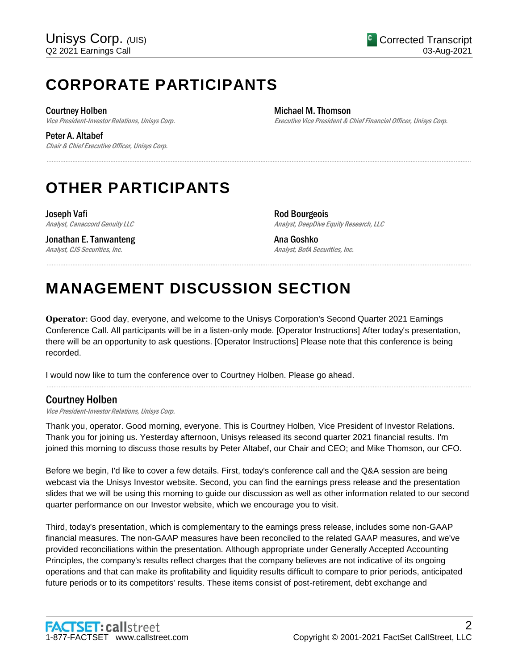# **CORPORATE PARTICIPANTS**

Courtney Holben Vice President-Investor Relations, Unisys Corp.

Peter A. Altabef Chair & Chief Executive Officer, Unisys Corp. Michael M. Thomson Executive Vice President & Chief Financial Officer, Unisys Corp.

# **OTHER PARTICIPANTS**

Joseph Vafi Analyst, Canaccord Genuity LLC

Jonathan E. Tanwanteng Analyst, CJS Securities, Inc.

Rod Bourgeois Analyst, DeepDive Equity Research, LLC

Ana Goshko Analyst, BofA Securities, Inc.

# **MANAGEMENT DISCUSSION SECTION**

**Operator**: Good day, everyone, and welcome to the Unisys Corporation's Second Quarter 2021 Earnings Conference Call. All participants will be in a listen-only mode. [Operator Instructions] After today's presentation, there will be an opportunity to ask questions. [Operator Instructions] Please note that this conference is being recorded.

......................................................................................................................................................................................................................................................

......................................................................................................................................................................................................................................................

I would now like to turn the conference over to Courtney Holben. Please go ahead.

# Courtney Holben

Vice President-Investor Relations, Unisys Corp.

Thank you, operator. Good morning, everyone. This is Courtney Holben, Vice President of Investor Relations. Thank you for joining us. Yesterday afternoon, Unisys released its second quarter 2021 financial results. I'm joined this morning to discuss those results by Peter Altabef, our Chair and CEO; and Mike Thomson, our CFO.

......................................................................................................................................................................................................................................................

Before we begin, I'd like to cover a few details. First, today's conference call and the Q&A session are being webcast via the Unisys Investor website. Second, you can find the earnings press release and the presentation slides that we will be using this morning to guide our discussion as well as other information related to our second quarter performance on our Investor website, which we encourage you to visit.

Third, today's presentation, which is complementary to the earnings press release, includes some non-GAAP financial measures. The non-GAAP measures have been reconciled to the related GAAP measures, and we've provided reconciliations within the presentation. Although appropriate under Generally Accepted Accounting Principles, the company's results reflect charges that the company believes are not indicative of its ongoing operations and that can make its profitability and liquidity results difficult to compare to prior periods, anticipated future periods or to its competitors' results. These items consist of post-retirement, debt exchange and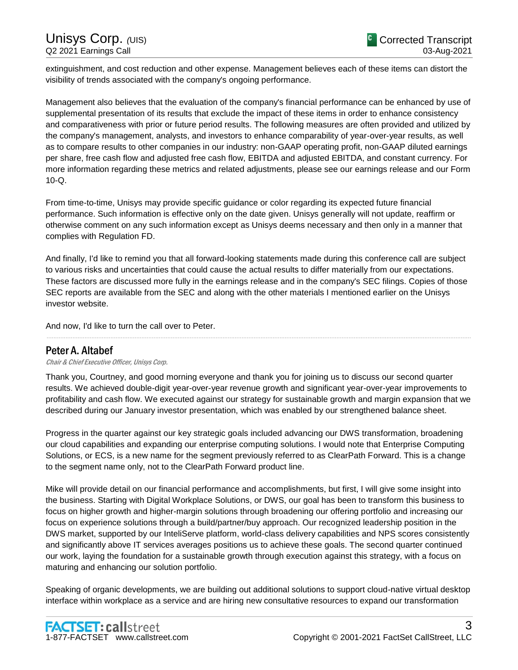extinguishment, and cost reduction and other expense. Management believes each of these items can distort the visibility of trends associated with the company's ongoing performance.

Management also believes that the evaluation of the company's financial performance can be enhanced by use of supplemental presentation of its results that exclude the impact of these items in order to enhance consistency and comparativeness with prior or future period results. The following measures are often provided and utilized by the company's management, analysts, and investors to enhance comparability of year-over-year results, as well as to compare results to other companies in our industry: non-GAAP operating profit, non-GAAP diluted earnings per share, free cash flow and adjusted free cash flow, EBITDA and adjusted EBITDA, and constant currency. For more information regarding these metrics and related adjustments, please see our earnings release and our Form 10-Q.

From time-to-time, Unisys may provide specific guidance or color regarding its expected future financial performance. Such information is effective only on the date given. Unisys generally will not update, reaffirm or otherwise comment on any such information except as Unisys deems necessary and then only in a manner that complies with Regulation FD.

And finally, I'd like to remind you that all forward-looking statements made during this conference call are subject to various risks and uncertainties that could cause the actual results to differ materially from our expectations. These factors are discussed more fully in the earnings release and in the company's SEC filings. Copies of those SEC reports are available from the SEC and along with the other materials I mentioned earlier on the Unisys investor website.

And now, I'd like to turn the call over to Peter.

# Peter A. Altabef

Chair & Chief Executive Officer, Unisys Corp.

Thank you, Courtney, and good morning everyone and thank you for joining us to discuss our second quarter results. We achieved double-digit year-over-year revenue growth and significant year-over-year improvements to profitability and cash flow. We executed against our strategy for sustainable growth and margin expansion that we described during our January investor presentation, which was enabled by our strengthened balance sheet.

......................................................................................................................................................................................................................................................

Progress in the quarter against our key strategic goals included advancing our DWS transformation, broadening our cloud capabilities and expanding our enterprise computing solutions. I would note that Enterprise Computing Solutions, or ECS, is a new name for the segment previously referred to as ClearPath Forward. This is a change to the segment name only, not to the ClearPath Forward product line.

Mike will provide detail on our financial performance and accomplishments, but first, I will give some insight into the business. Starting with Digital Workplace Solutions, or DWS, our goal has been to transform this business to focus on higher growth and higher-margin solutions through broadening our offering portfolio and increasing our focus on experience solutions through a build/partner/buy approach. Our recognized leadership position in the DWS market, supported by our InteliServe platform, world-class delivery capabilities and NPS scores consistently and significantly above IT services averages positions us to achieve these goals. The second quarter continued our work, laying the foundation for a sustainable growth through execution against this strategy, with a focus on maturing and enhancing our solution portfolio.

Speaking of organic developments, we are building out additional solutions to support cloud-native virtual desktop interface within workplace as a service and are hiring new consultative resources to expand our transformation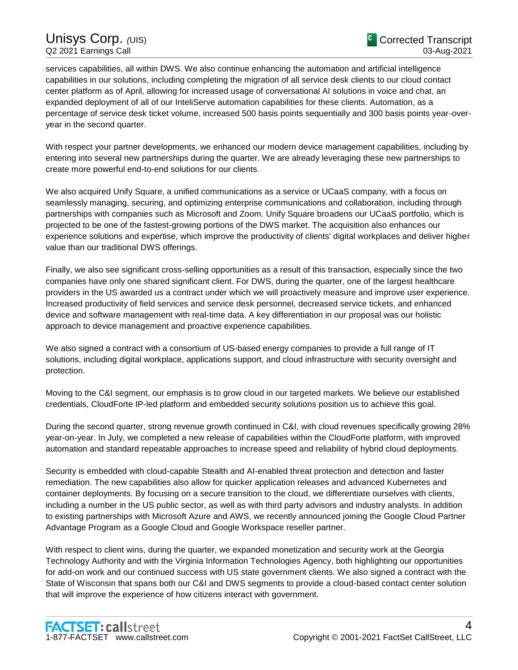services capabilities, all within DWS. We also continue enhancing the automation and artificial intelligence capabilities in our solutions, including completing the migration of all service desk clients to our cloud contact center platform as of April, allowing for increased usage of conversational AI solutions in voice and chat, an expanded deployment of all of our InteliServe automation capabilities for these clients. Automation, as a percentage of service desk ticket volume, increased 500 basis points sequentially and 300 basis points year-overyear in the second quarter.

With respect your partner developments, we enhanced our modern device management capabilities, including by entering into several new partnerships during the quarter. We are already leveraging these new partnerships to create more powerful end-to-end solutions for our clients.

We also acquired Unify Square, a unified communications as a service or UCaaS company, with a focus on seamlessly managing, securing, and optimizing enterprise communications and collaboration, including through partnerships with companies such as Microsoft and Zoom. Unify Square broadens our UCaaS portfolio, which is projected to be one of the fastest-growing portions of the DWS market. The acquisition also enhances our experience solutions and expertise, which improve the productivity of clients' digital workplaces and deliver higher value than our traditional DWS offerings.

Finally, we also see significant cross-selling opportunities as a result of this transaction, especially since the two companies have only one shared significant client. For DWS, during the quarter, one of the largest healthcare providers in the US awarded us a contract under which we will proactively measure and improve user experience. Increased productivity of field services and service desk personnel, decreased service tickets, and enhanced device and software management with real-time data. A key differentiation in our proposal was our holistic approach to device management and proactive experience capabilities.

We also signed a contract with a consortium of US-based energy companies to provide a full range of IT solutions, including digital workplace, applications support, and cloud infrastructure with security oversight and protection.

Moving to the C&I segment, our emphasis is to grow cloud in our targeted markets. We believe our established credentials, CloudForte IP-led platform and embedded security solutions position us to achieve this goal.

During the second quarter, strong revenue growth continued in C&I, with cloud revenues specifically growing 28% year-on-year. In July, we completed a new release of capabilities within the CloudForte platform, with improved automation and standard repeatable approaches to increase speed and reliability of hybrid cloud deployments.

Security is embedded with cloud-capable Stealth and AI-enabled threat protection and detection and faster remediation. The new capabilities also allow for quicker application releases and advanced Kubernetes and container deployments. By focusing on a secure transition to the cloud, we differentiate ourselves with clients, including a number in the US public sector, as well as with third party advisors and industry analysts. In addition to existing partnerships with Microsoft Azure and AWS, we recently announced joining the Google Cloud Partner Advantage Program as a Google Cloud and Google Workspace reseller partner.

With respect to client wins, during the quarter, we expanded monetization and security work at the Georgia Technology Authority and with the Virginia Information Technologies Agency, both highlighting our opportunities for add-on work and our continued success with US state government clients. We also signed a contract with the State of Wisconsin that spans both our C&I and DWS segments to provide a cloud-based contact center solution that will improve the experience of how citizens interact with government.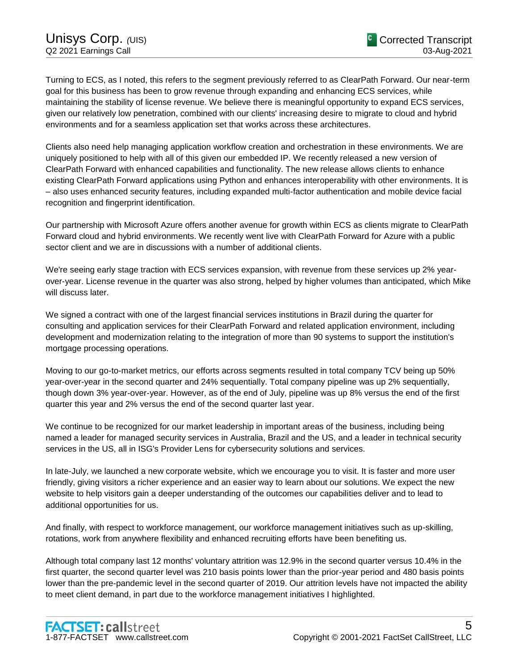Turning to ECS, as I noted, this refers to the segment previously referred to as ClearPath Forward. Our near-term goal for this business has been to grow revenue through expanding and enhancing ECS services, while maintaining the stability of license revenue. We believe there is meaningful opportunity to expand ECS services, given our relatively low penetration, combined with our clients' increasing desire to migrate to cloud and hybrid environments and for a seamless application set that works across these architectures.

Clients also need help managing application workflow creation and orchestration in these environments. We are uniquely positioned to help with all of this given our embedded IP. We recently released a new version of ClearPath Forward with enhanced capabilities and functionality. The new release allows clients to enhance existing ClearPath Forward applications using Python and enhances interoperability with other environments. It is – also uses enhanced security features, including expanded multi-factor authentication and mobile device facial recognition and fingerprint identification.

Our partnership with Microsoft Azure offers another avenue for growth within ECS as clients migrate to ClearPath Forward cloud and hybrid environments. We recently went live with ClearPath Forward for Azure with a public sector client and we are in discussions with a number of additional clients.

We're seeing early stage traction with ECS services expansion, with revenue from these services up 2% yearover-year. License revenue in the quarter was also strong, helped by higher volumes than anticipated, which Mike will discuss later.

We signed a contract with one of the largest financial services institutions in Brazil during the quarter for consulting and application services for their ClearPath Forward and related application environment, including development and modernization relating to the integration of more than 90 systems to support the institution's mortgage processing operations.

Moving to our go-to-market metrics, our efforts across segments resulted in total company TCV being up 50% year-over-year in the second quarter and 24% sequentially. Total company pipeline was up 2% sequentially, though down 3% year-over-year. However, as of the end of July, pipeline was up 8% versus the end of the first quarter this year and 2% versus the end of the second quarter last year.

We continue to be recognized for our market leadership in important areas of the business, including being named a leader for managed security services in Australia, Brazil and the US, and a leader in technical security services in the US, all in ISG's Provider Lens for cybersecurity solutions and services.

In late-July, we launched a new corporate website, which we encourage you to visit. It is faster and more user friendly, giving visitors a richer experience and an easier way to learn about our solutions. We expect the new website to help visitors gain a deeper understanding of the outcomes our capabilities deliver and to lead to additional opportunities for us.

And finally, with respect to workforce management, our workforce management initiatives such as up-skilling, rotations, work from anywhere flexibility and enhanced recruiting efforts have been benefiting us.

Although total company last 12 months' voluntary attrition was 12.9% in the second quarter versus 10.4% in the first quarter, the second quarter level was 210 basis points lower than the prior-year period and 480 basis points lower than the pre-pandemic level in the second quarter of 2019. Our attrition levels have not impacted the ability to meet client demand, in part due to the workforce management initiatives I highlighted.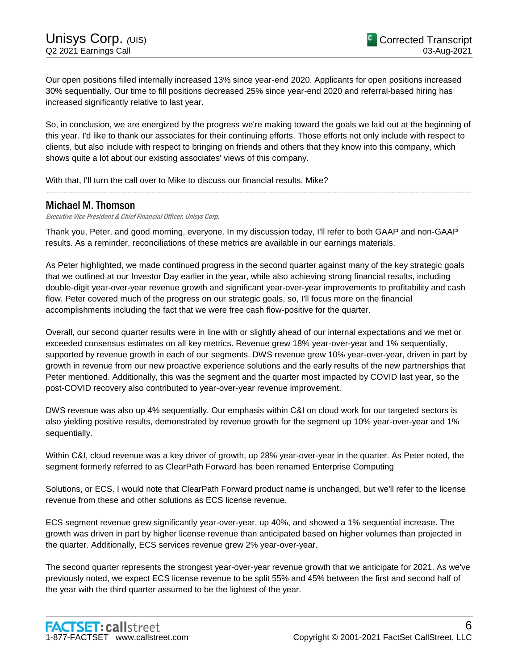Our open positions filled internally increased 13% since year-end 2020. Applicants for open positions increased 30% sequentially. Our time to fill positions decreased 25% since year-end 2020 and referral-based hiring has increased significantly relative to last year.

So, in conclusion, we are energized by the progress we're making toward the goals we laid out at the beginning of this year. I'd like to thank our associates for their continuing efforts. Those efforts not only include with respect to clients, but also include with respect to bringing on friends and others that they know into this company, which shows quite a lot about our existing associates' views of this company.

......................................................................................................................................................................................................................................................

With that, I'll turn the call over to Mike to discuss our financial results. Mike?

# Michael M. Thomson

Executive Vice President & Chief Financial Officer, Unisys Corp.

Thank you, Peter, and good morning, everyone. In my discussion today, I'll refer to both GAAP and non-GAAP results. As a reminder, reconciliations of these metrics are available in our earnings materials.

As Peter highlighted, we made continued progress in the second quarter against many of the key strategic goals that we outlined at our Investor Day earlier in the year, while also achieving strong financial results, including double-digit year-over-year revenue growth and significant year-over-year improvements to profitability and cash flow. Peter covered much of the progress on our strategic goals, so, I'll focus more on the financial accomplishments including the fact that we were free cash flow-positive for the quarter.

Overall, our second quarter results were in line with or slightly ahead of our internal expectations and we met or exceeded consensus estimates on all key metrics. Revenue grew 18% year-over-year and 1% sequentially, supported by revenue growth in each of our segments. DWS revenue grew 10% year-over-year, driven in part by growth in revenue from our new proactive experience solutions and the early results of the new partnerships that Peter mentioned. Additionally, this was the segment and the quarter most impacted by COVID last year, so the post-COVID recovery also contributed to year-over-year revenue improvement.

DWS revenue was also up 4% sequentially. Our emphasis within C&I on cloud work for our targeted sectors is also yielding positive results, demonstrated by revenue growth for the segment up 10% year-over-year and 1% sequentially.

Within C&I, cloud revenue was a key driver of growth, up 28% year-over-year in the quarter. As Peter noted, the segment formerly referred to as ClearPath Forward has been renamed Enterprise Computing

Solutions, or ECS. I would note that ClearPath Forward product name is unchanged, but we'll refer to the license revenue from these and other solutions as ECS license revenue.

ECS segment revenue grew significantly year-over-year, up 40%, and showed a 1% sequential increase. The growth was driven in part by higher license revenue than anticipated based on higher volumes than projected in the quarter. Additionally, ECS services revenue grew 2% year-over-year.

The second quarter represents the strongest year-over-year revenue growth that we anticipate for 2021. As we've previously noted, we expect ECS license revenue to be split 55% and 45% between the first and second half of the year with the third quarter assumed to be the lightest of the year.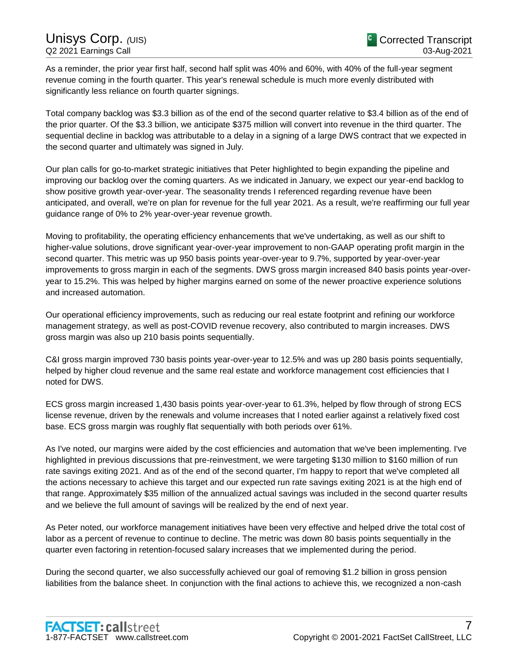As a reminder, the prior year first half, second half split was 40% and 60%, with 40% of the full-year segment revenue coming in the fourth quarter. This year's renewal schedule is much more evenly distributed with significantly less reliance on fourth quarter signings.

Total company backlog was \$3.3 billion as of the end of the second quarter relative to \$3.4 billion as of the end of the prior quarter. Of the \$3.3 billion, we anticipate \$375 million will convert into revenue in the third quarter. The sequential decline in backlog was attributable to a delay in a signing of a large DWS contract that we expected in the second quarter and ultimately was signed in July.

Our plan calls for go-to-market strategic initiatives that Peter highlighted to begin expanding the pipeline and improving our backlog over the coming quarters. As we indicated in January, we expect our year-end backlog to show positive growth year-over-year. The seasonality trends I referenced regarding revenue have been anticipated, and overall, we're on plan for revenue for the full year 2021. As a result, we're reaffirming our full year guidance range of 0% to 2% year-over-year revenue growth.

Moving to profitability, the operating efficiency enhancements that we've undertaking, as well as our shift to higher-value solutions, drove significant year-over-year improvement to non-GAAP operating profit margin in the second quarter. This metric was up 950 basis points year-over-year to 9.7%, supported by year-over-year improvements to gross margin in each of the segments. DWS gross margin increased 840 basis points year-overyear to 15.2%. This was helped by higher margins earned on some of the newer proactive experience solutions and increased automation.

Our operational efficiency improvements, such as reducing our real estate footprint and refining our workforce management strategy, as well as post-COVID revenue recovery, also contributed to margin increases. DWS gross margin was also up 210 basis points sequentially.

C&I gross margin improved 730 basis points year-over-year to 12.5% and was up 280 basis points sequentially, helped by higher cloud revenue and the same real estate and workforce management cost efficiencies that I noted for DWS.

ECS gross margin increased 1,430 basis points year-over-year to 61.3%, helped by flow through of strong ECS license revenue, driven by the renewals and volume increases that I noted earlier against a relatively fixed cost base. ECS gross margin was roughly flat sequentially with both periods over 61%.

As I've noted, our margins were aided by the cost efficiencies and automation that we've been implementing. I've highlighted in previous discussions that pre-reinvestment, we were targeting \$130 million to \$160 million of run rate savings exiting 2021. And as of the end of the second quarter, I'm happy to report that we've completed all the actions necessary to achieve this target and our expected run rate savings exiting 2021 is at the high end of that range. Approximately \$35 million of the annualized actual savings was included in the second quarter results and we believe the full amount of savings will be realized by the end of next year.

As Peter noted, our workforce management initiatives have been very effective and helped drive the total cost of labor as a percent of revenue to continue to decline. The metric was down 80 basis points sequentially in the quarter even factoring in retention-focused salary increases that we implemented during the period.

During the second quarter, we also successfully achieved our goal of removing \$1.2 billion in gross pension liabilities from the balance sheet. In conjunction with the final actions to achieve this, we recognized a non-cash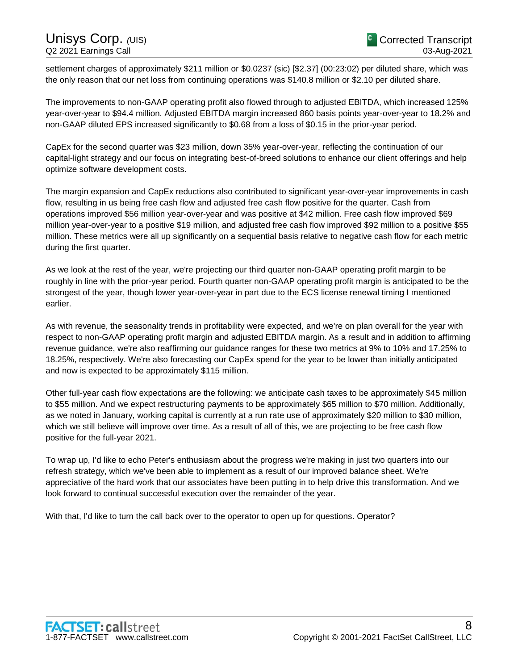settlement charges of approximately \$211 million or \$0.0237 (sic) [\$2.37] (00:23:02) per diluted share, which was the only reason that our net loss from continuing operations was \$140.8 million or \$2.10 per diluted share.

The improvements to non-GAAP operating profit also flowed through to adjusted EBITDA, which increased 125% year-over-year to \$94.4 million. Adjusted EBITDA margin increased 860 basis points year-over-year to 18.2% and non-GAAP diluted EPS increased significantly to \$0.68 from a loss of \$0.15 in the prior-year period.

CapEx for the second quarter was \$23 million, down 35% year-over-year, reflecting the continuation of our capital-light strategy and our focus on integrating best-of-breed solutions to enhance our client offerings and help optimize software development costs.

The margin expansion and CapEx reductions also contributed to significant year-over-year improvements in cash flow, resulting in us being free cash flow and adjusted free cash flow positive for the quarter. Cash from operations improved \$56 million year-over-year and was positive at \$42 million. Free cash flow improved \$69 million year-over-year to a positive \$19 million, and adjusted free cash flow improved \$92 million to a positive \$55 million. These metrics were all up significantly on a sequential basis relative to negative cash flow for each metric during the first quarter.

As we look at the rest of the year, we're projecting our third quarter non-GAAP operating profit margin to be roughly in line with the prior-year period. Fourth quarter non-GAAP operating profit margin is anticipated to be the strongest of the year, though lower year-over-year in part due to the ECS license renewal timing I mentioned earlier.

As with revenue, the seasonality trends in profitability were expected, and we're on plan overall for the year with respect to non-GAAP operating profit margin and adjusted EBITDA margin. As a result and in addition to affirming revenue guidance, we're also reaffirming our guidance ranges for these two metrics at 9% to 10% and 17.25% to 18.25%, respectively. We're also forecasting our CapEx spend for the year to be lower than initially anticipated and now is expected to be approximately \$115 million.

Other full-year cash flow expectations are the following: we anticipate cash taxes to be approximately \$45 million to \$55 million. And we expect restructuring payments to be approximately \$65 million to \$70 million. Additionally, as we noted in January, working capital is currently at a run rate use of approximately \$20 million to \$30 million, which we still believe will improve over time. As a result of all of this, we are projecting to be free cash flow positive for the full-year 2021.

To wrap up, I'd like to echo Peter's enthusiasm about the progress we're making in just two quarters into our refresh strategy, which we've been able to implement as a result of our improved balance sheet. We're appreciative of the hard work that our associates have been putting in to help drive this transformation. And we look forward to continual successful execution over the remainder of the year.

With that, I'd like to turn the call back over to the operator to open up for questions. Operator?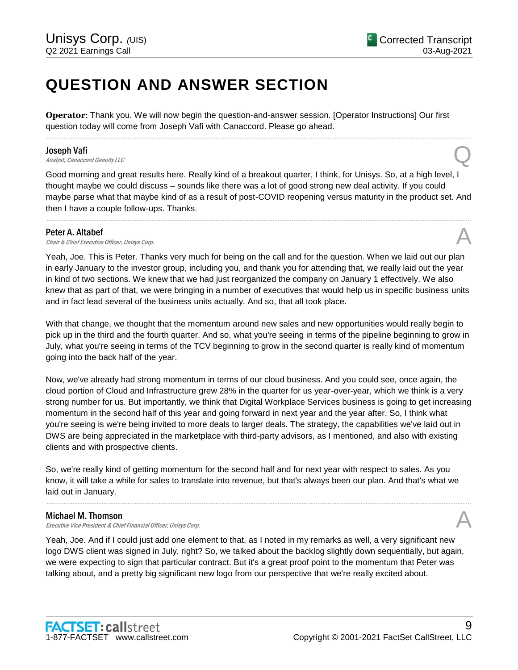# **QUESTION AND ANSWER SECTION**

**Operator**: Thank you. We will now begin the question-and-answer session. [Operator Instructions] Our first question today will come from Joseph Vafi with Canaccord. Please go ahead.

# Joseph Vafi

**Joseph Vafi**<br>Analyst, Canaccord Genuity LLC

Good morning and great results here. Really kind of a breakout quarter, I think, for Unisys. So, at a high level, I thought maybe we could discuss – sounds like there was a lot of good strong new deal activity. If you could maybe parse what that maybe kind of as a result of post-COVID reopening versus maturity in the product set. And then I have a couple follow-ups. Thanks.

......................................................................................................................................................................................................................................................

......................................................................................................................................................................................................................................................

**Peter A. Altabef**<br>Chair & Chief Executive Officer, Unisys Corp. **Peter A. Altabef Chair & Chief Executive Officer, Unisys Corp.**  $\mathcal{A}$ 

Yeah, Joe. This is Peter. Thanks very much for being on the call and for the question. When we laid out our plan in early January to the investor group, including you, and thank you for attending that, we really laid out the year in kind of two sections. We knew that we had just reorganized the company on January 1 effectively. We also knew that as part of that, we were bringing in a number of executives that would help us in specific business units and in fact lead several of the business units actually. And so, that all took place.

With that change, we thought that the momentum around new sales and new opportunities would really begin to pick up in the third and the fourth quarter. And so, what you're seeing in terms of the pipeline beginning to grow in July, what you're seeing in terms of the TCV beginning to grow in the second quarter is really kind of momentum going into the back half of the year.

Now, we've already had strong momentum in terms of our cloud business. And you could see, once again, the cloud portion of Cloud and Infrastructure grew 28% in the quarter for us year-over-year, which we think is a very strong number for us. But importantly, we think that Digital Workplace Services business is going to get increasing momentum in the second half of this year and going forward in next year and the year after. So, I think what you're seeing is we're being invited to more deals to larger deals. The strategy, the capabilities we've laid out in DWS are being appreciated in the marketplace with third-party advisors, as I mentioned, and also with existing clients and with prospective clients.

So, we're really kind of getting momentum for the second half and for next year with respect to sales. As you know, it will take a while for sales to translate into revenue, but that's always been our plan. And that's what we laid out in January.

......................................................................................................................................................................................................................................................

# Michael M. Thomson

Executive Vice President & Chief Financial Officer, Unisys Corp.

Yeah, Joe. And if I could just add one element to that, as I noted in my remarks as well, a very significant new logo DWS client was signed in July, right? So, we talked about the backlog slightly down sequentially, but again, we were expecting to sign that particular contract. But it's a great proof point to the momentum that Peter was talking about, and a pretty big significant new logo from our perspective that we're really excited about.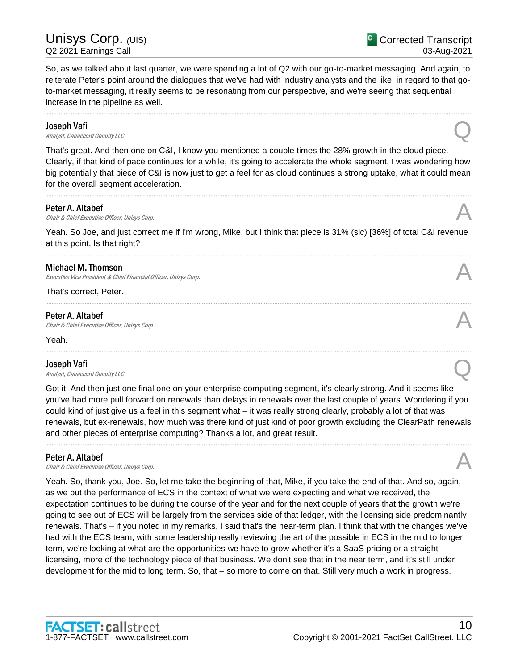So, as we talked about last quarter, we were spending a lot of Q2 with our go-to-market messaging. And again, to reiterate Peter's point around the dialogues that we've had with industry analysts and the like, in regard to that goto-market messaging, it really seems to be resonating from our perspective, and we're seeing that sequential increase in the pipeline as well.

......................................................................................................................................................................................................................................................

# Joseph Vafi

**Joseph Vafi**<br>Analyst, Canaccord Genuity LLC

That's great. And then one on C&I, I know you mentioned a couple times the 28% growth in the cloud piece. Clearly, if that kind of pace continues for a while, it's going to accelerate the whole segment. I was wondering how big potentially that piece of C&I is now just to get a feel for as cloud continues a strong uptake, what it could mean for the overall segment acceleration.

......................................................................................................................................................................................................................................................

# Peter A. Altabef

**Peter A. Altabef**  $\bigwedge$  *Chair & Chief Executive Officer, Unisys Corp.* 

Yeah. So Joe, and just correct me if I'm wrong, Mike, but I think that piece is 31% (sic) [36%] of total C&I revenue at this point. Is that right? ......................................................................................................................................................................................................................................................

......................................................................................................................................................................................................................................................

......................................................................................................................................................................................................................................................

# Michael M. Thomson

Executive Vice President & Chief Financial Officer, Unisys Corp.

That's correct, Peter.

# Peter A. Altabef

**Peter A. Altabef**  $\bigwedge$  *Chair & Chief Executive Officer, Unisys Corp.* 

Yeah.

# Joseph Vafi

**Joseph Vafi**<br>Analyst, Canaccord Genuity LLC

Got it. And then just one final one on your enterprise computing segment, it's clearly strong. And it seems like you've had more pull forward on renewals than delays in renewals over the last couple of years. Wondering if you could kind of just give us a feel in this segment what – it was really strong clearly, probably a lot of that was renewals, but ex-renewals, how much was there kind of just kind of poor growth excluding the ClearPath renewals and other pieces of enterprise computing? Thanks a lot, and great result.

......................................................................................................................................................................................................................................................

# Peter A. Altabef

**Peter A. Altabef Chair & Chief Executive Officer, Unisys Corp.**  $\mathcal{A}$ 

Yeah. So, thank you, Joe. So, let me take the beginning of that, Mike, if you take the end of that. And so, again, as we put the performance of ECS in the context of what we were expecting and what we received, the expectation continues to be during the course of the year and for the next couple of years that the growth we're going to see out of ECS will be largely from the services side of that ledger, with the licensing side predominantly renewals. That's – if you noted in my remarks, I said that's the near-term plan. I think that with the changes we've had with the ECS team, with some leadership really reviewing the art of the possible in ECS in the mid to longer term, we're looking at what are the opportunities we have to grow whether it's a SaaS pricing or a straight licensing, more of the technology piece of that business. We don't see that in the near term, and it's still under development for the mid to long term. So, that – so more to come on that. Still very much a work in progress.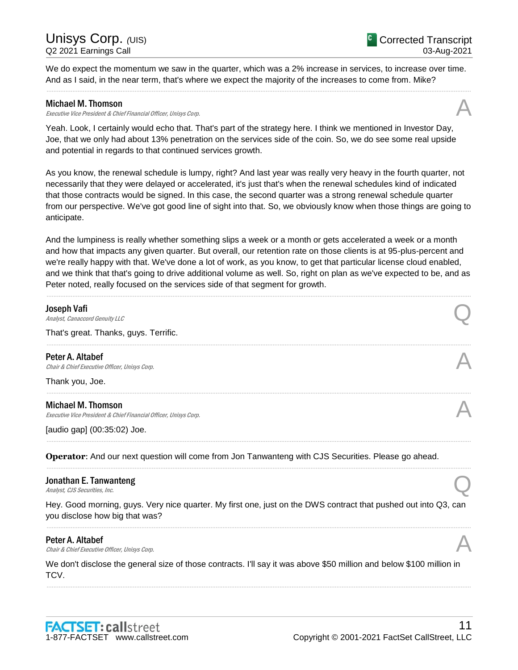We do expect the momentum we saw in the quarter, which was a 2% increase in services, to increase over time. And as I said, in the near term, that's where we expect the majority of the increases to come from. Mike? ......................................................................................................................................................................................................................................................

# Michael M. Thomson

Executive Vice President & Chief Financial Officer, Unisys Corp.

Yeah. Look, I certainly would echo that. That's part of the strategy here. I think we mentioned in Investor Day, Joe, that we only had about 13% penetration on the services side of the coin. So, we do see some real upside and potential in regards to that continued services growth.

As you know, the renewal schedule is lumpy, right? And last year was really very heavy in the fourth quarter, not necessarily that they were delayed or accelerated, it's just that's when the renewal schedules kind of indicated that those contracts would be signed. In this case, the second quarter was a strong renewal schedule quarter from our perspective. We've got good line of sight into that. So, we obviously know when those things are going to anticipate.

And the lumpiness is really whether something slips a week or a month or gets accelerated a week or a month and how that impacts any given quarter. But overall, our retention rate on those clients is at 95-plus-percent and we're really happy with that. We've done a lot of work, as you know, to get that particular license cloud enabled, and we think that that's going to drive additional volume as well. So, right on plan as we've expected to be, and as Peter noted, really focused on the services side of that segment for growth.

| Joseph Vafi<br>Analyst, Canaccord Genuity LLC                                                 |  |
|-----------------------------------------------------------------------------------------------|--|
| That's great. Thanks, guys. Terrific.                                                         |  |
| Peter A. Altabef<br>Chair & Chief Executive Officer, Unisys Corp.                             |  |
| Thank you, Joe.                                                                               |  |
| <b>Michael M. Thomson</b><br>Executive Vice President & Chief Financial Officer, Unisys Corp. |  |
| [audio gap] (00:35:02) Joe.                                                                   |  |
|                                                                                               |  |

**Operator**: And our next question will come from Jon Tanwanteng with CJS Securities. Please go ahead.

# Jonathan E. Tanwanteng **Jonathan E. Tanwanteng**<br>Analyst, CJS Securities, Inc. Q

Hey. Good morning, guys. Very nice quarter. My first one, just on the DWS contract that pushed out into Q3, can you disclose how big that was? ......................................................................................................................................................................................................................................................

......................................................................................................................................................................................................................................................

# Peter A. Altabef

**Peter A. Altabef Chair & Chief Executive Officer, Unisys Corp.**  $\mathcal{A}$ 

We don't disclose the general size of those contracts. I'll say it was above \$50 million and below \$100 million in TCV.

......................................................................................................................................................................................................................................................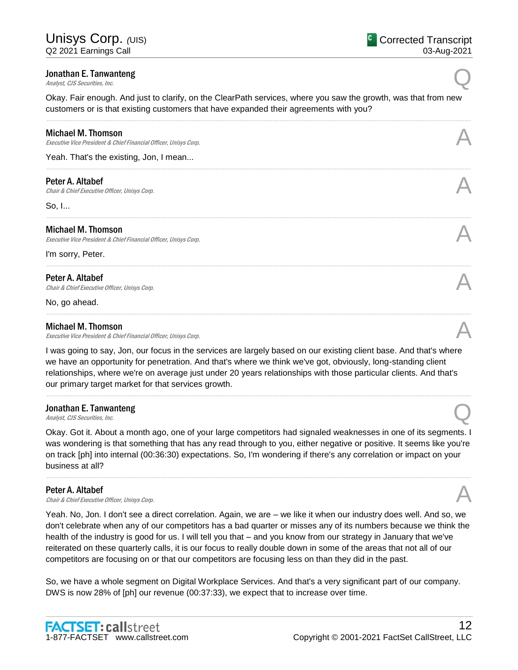# Jonathan E. Tanwanteng **Jonathan E. Tanwanteng**<br>Analyst, CJS Securities, Inc. Q

Okay. Fair enough. And just to clarify, on the ClearPath services, where you saw the growth, was that from new customers or is that existing customers that have expanded their agreements with you?

......................................................................................................................................................................................................................................................

| Michael M. Thomson<br>Executive Vice President & Chief Financial Officer, Unisys Corp.        |  |
|-----------------------------------------------------------------------------------------------|--|
| Yeah. That's the existing, Jon, I mean                                                        |  |
| Peter A. Altabef<br>Chair & Chief Executive Officer, Unisys Corp.                             |  |
| So, I                                                                                         |  |
| <b>Michael M. Thomson</b><br>Executive Vice President & Chief Financial Officer, Unisys Corp. |  |
| I'm sorry, Peter.                                                                             |  |
| Peter A. Altabef<br>Chair & Chief Executive Officer, Unisys Corp.                             |  |
| No, go ahead.                                                                                 |  |
| <b>Michael M. Thomson</b><br>Executive Vice President & Chief Financial Officer, Unisys Corp. |  |

I was going to say, Jon, our focus in the services are largely based on our existing client base. And that's where we have an opportunity for penetration. And that's where we think we've got, obviously, long-standing client relationships, where we're on average just under 20 years relationships with those particular clients. And that's our primary target market for that services growth.

......................................................................................................................................................................................................................................................

# Jonathan E. Tanwanteng **Jonathan E. Tanwanteng**<br>Analyst, CJS Securities, Inc. Q

Okay. Got it. About a month ago, one of your large competitors had signaled weaknesses in one of its segments. I was wondering is that something that has any read through to you, either negative or positive. It seems like you're on track [ph] into internal (00:36:30) expectations. So, I'm wondering if there's any correlation or impact on your business at all?

......................................................................................................................................................................................................................................................

# Peter A. Altabef

**Peter A. Altabef Chair & Chief Executive Officer, Unisys Corp.**  $\mathcal{A}$ 

Yeah. No, Jon. I don't see a direct correlation. Again, we are – we like it when our industry does well. And so, we don't celebrate when any of our competitors has a bad quarter or misses any of its numbers because we think the health of the industry is good for us. I will tell you that – and you know from our strategy in January that we've reiterated on these quarterly calls, it is our focus to really double down in some of the areas that not all of our competitors are focusing on or that our competitors are focusing less on than they did in the past.

So, we have a whole segment on Digital Workplace Services. And that's a very significant part of our company. DWS is now 28% of [ph] our revenue (00:37:33), we expect that to increase over time.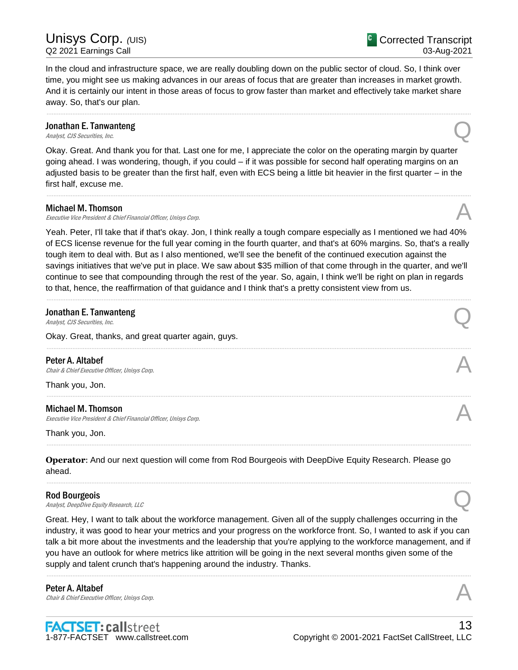In the cloud and infrastructure space, we are really doubling down on the public sector of cloud. So, I think over time, you might see us making advances in our areas of focus that are greater than increases in market growth. And it is certainly our intent in those areas of focus to grow faster than market and effectively take market share away. So, that's our plan.

......................................................................................................................................................................................................................................................

# Jonathan E. Tanwanteng **Jonathan E. Tanwanteng**<br>Analyst, CJS Securities, Inc. Q

Okay. Great. And thank you for that. Last one for me, I appreciate the color on the operating margin by quarter going ahead. I was wondering, though, if you could – if it was possible for second half operating margins on an adjusted basis to be greater than the first half, even with ECS being a little bit heavier in the first quarter – in the first half, excuse me.

......................................................................................................................................................................................................................................................

# Michael M. Thomson

Executive Vice President & Chief Financial Officer, Unisys Corp.

Yeah. Peter, I'll take that if that's okay. Jon, I think really a tough compare especially as I mentioned we had 40% of ECS license revenue for the full year coming in the fourth quarter, and that's at 60% margins. So, that's a really tough item to deal with. But as I also mentioned, we'll see the benefit of the continued execution against the savings initiatives that we've put in place. We saw about \$35 million of that come through in the quarter, and we'll continue to see that compounding through the rest of the year. So, again, I think we'll be right on plan in regards to that, hence, the reaffirmation of that guidance and I think that's a pretty consistent view from us.

......................................................................................................................................................................................................................................................

......................................................................................................................................................................................................................................................

......................................................................................................................................................................................................................................................

......................................................................................................................................................................................................................................................

......................................................................................................................................................................................................................................................

# Jonathan E. Tanwanteng **Jonathan E. Tanwanteng**<br>Analyst, CJS Securities, Inc. Q

Okay. Great, thanks, and great quarter again, guys.

Peter A. Altabef **Peter A. Altabef**  $\bigwedge$  *Chair & Chief Executive Officer, Unisys Corp.* 

Thank you, Jon.

# Michael M. Thomson

Executive Vice President & Chief Financial Officer, Unisys Corp.

Thank you, Jon.

**Operator**: And our next question will come from Rod Bourgeois with DeepDive Equity Research. Please go ahead.

# Rod Bourgeois

Rod Bourgeois<br>Analyst, DeepDive Equity Research, LLC

Great. Hey, I want to talk about the workforce management. Given all of the supply challenges occurring in the industry, it was good to hear your metrics and your progress on the workforce front. So, I wanted to ask if you can talk a bit more about the investments and the leadership that you're applying to the workforce management, and if you have an outlook for where metrics like attrition will be going in the next several months given some of the supply and talent crunch that's happening around the industry. Thanks.

......................................................................................................................................................................................................................................................

Peter A. Altabef **Peter A. Altabef Chair & Chief Executive Officer, Unisys Corp.**  $\mathcal{A}$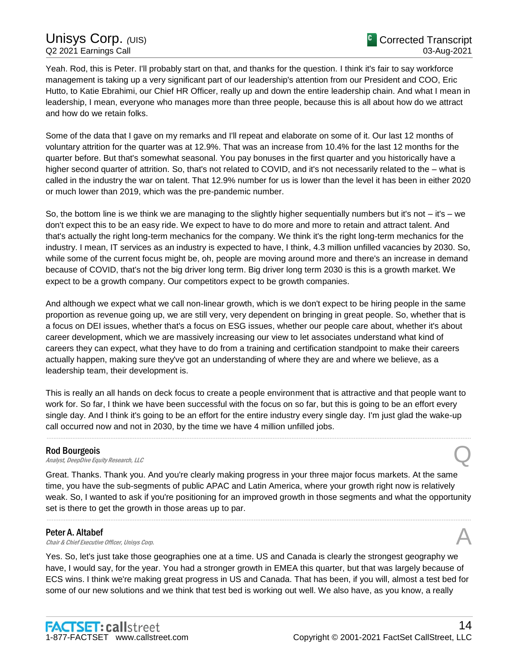Yeah. Rod, this is Peter. I'll probably start on that, and thanks for the question. I think it's fair to say workforce management is taking up a very significant part of our leadership's attention from our President and COO, Eric Hutto, to Katie Ebrahimi, our Chief HR Officer, really up and down the entire leadership chain. And what I mean in leadership, I mean, everyone who manages more than three people, because this is all about how do we attract and how do we retain folks.

Some of the data that I gave on my remarks and I'll repeat and elaborate on some of it. Our last 12 months of voluntary attrition for the quarter was at 12.9%. That was an increase from 10.4% for the last 12 months for the quarter before. But that's somewhat seasonal. You pay bonuses in the first quarter and you historically have a higher second quarter of attrition. So, that's not related to COVID, and it's not necessarily related to the – what is called in the industry the war on talent. That 12.9% number for us is lower than the level it has been in either 2020 or much lower than 2019, which was the pre-pandemic number.

So, the bottom line is we think we are managing to the slightly higher sequentially numbers but it's not – it's – we don't expect this to be an easy ride. We expect to have to do more and more to retain and attract talent. And that's actually the right long-term mechanics for the company. We think it's the right long-term mechanics for the industry. I mean, IT services as an industry is expected to have, I think, 4.3 million unfilled vacancies by 2030. So, while some of the current focus might be, oh, people are moving around more and there's an increase in demand because of COVID, that's not the big driver long term. Big driver long term 2030 is this is a growth market. We expect to be a growth company. Our competitors expect to be growth companies.

And although we expect what we call non-linear growth, which is we don't expect to be hiring people in the same proportion as revenue going up, we are still very, very dependent on bringing in great people. So, whether that is a focus on DEI issues, whether that's a focus on ESG issues, whether our people care about, whether it's about career development, which we are massively increasing our view to let associates understand what kind of careers they can expect, what they have to do from a training and certification standpoint to make their careers actually happen, making sure they've got an understanding of where they are and where we believe, as a leadership team, their development is.

This is really an all hands on deck focus to create a people environment that is attractive and that people want to work for. So far, I think we have been successful with the focus on so far, but this is going to be an effort every single day. And I think it's going to be an effort for the entire industry every single day. I'm just glad the wake-up call occurred now and not in 2030, by the time we have 4 million unfilled jobs.

......................................................................................................................................................................................................................................................

Rod Bourgeois<br>Analyst, DeepDive Equity Research, LLC Rod Bourgeois<br>Analyst, DeepDive Equity Research, LLC

Great. Thanks. Thank you. And you're clearly making progress in your three major focus markets. At the same time, you have the sub-segments of public APAC and Latin America, where your growth right now is relatively weak. So, I wanted to ask if you're positioning for an improved growth in those segments and what the opportunity set is there to get the growth in those areas up to par.

......................................................................................................................................................................................................................................................

# Peter A. Altabef

**Peter A. Altabef Chair & Chief Executive Officer, Unisys Corp.**  $\mathcal{A}$ 

Yes. So, let's just take those geographies one at a time. US and Canada is clearly the strongest geography we have, I would say, for the year. You had a stronger growth in EMEA this quarter, but that was largely because of ECS wins. I think we're making great progress in US and Canada. That has been, if you will, almost a test bed for some of our new solutions and we think that test bed is working out well. We also have, as you know, a really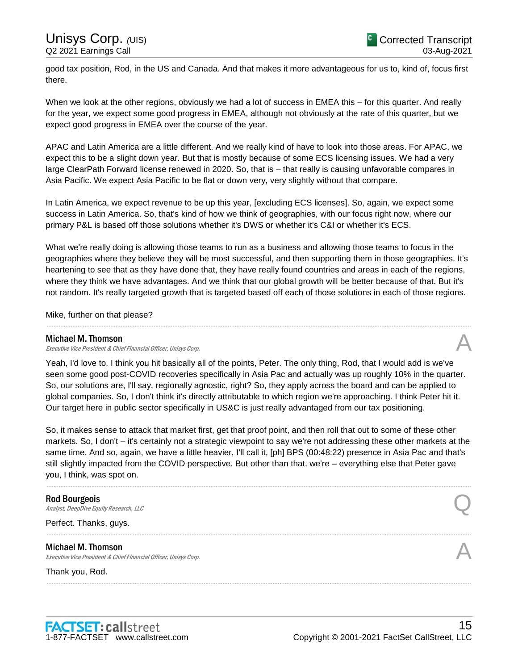good tax position, Rod, in the US and Canada. And that makes it more advantageous for us to, kind of, focus first there.

When we look at the other regions, obviously we had a lot of success in EMEA this – for this quarter. And really for the year, we expect some good progress in EMEA, although not obviously at the rate of this quarter, but we expect good progress in EMEA over the course of the year.

APAC and Latin America are a little different. And we really kind of have to look into those areas. For APAC, we expect this to be a slight down year. But that is mostly because of some ECS licensing issues. We had a very large ClearPath Forward license renewed in 2020. So, that is – that really is causing unfavorable compares in Asia Pacific. We expect Asia Pacific to be flat or down very, very slightly without that compare.

In Latin America, we expect revenue to be up this year, [excluding ECS licenses]. So, again, we expect some success in Latin America. So, that's kind of how we think of geographies, with our focus right now, where our primary P&L is based off those solutions whether it's DWS or whether it's C&I or whether it's ECS.

What we're really doing is allowing those teams to run as a business and allowing those teams to focus in the geographies where they believe they will be most successful, and then supporting them in those geographies. It's heartening to see that as they have done that, they have really found countries and areas in each of the regions, where they think we have advantages. And we think that our global growth will be better because of that. But it's not random. It's really targeted growth that is targeted based off each of those solutions in each of those regions.

......................................................................................................................................................................................................................................................

Mike, further on that please?

# Michael M. Thomson

Executive Vice President & Chief Financial Officer, Unisys Corp.

Yeah, I'd love to. I think you hit basically all of the points, Peter. The only thing, Rod, that I would add is we've seen some good post-COVID recoveries specifically in Asia Pac and actually was up roughly 10% in the quarter. So, our solutions are, I'll say, regionally agnostic, right? So, they apply across the board and can be applied to global companies. So, I don't think it's directly attributable to which region we're approaching. I think Peter hit it. Our target here in public sector specifically in US&C is just really advantaged from our tax positioning.

So, it makes sense to attack that market first, get that proof point, and then roll that out to some of these other markets. So, I don't – it's certainly not a strategic viewpoint to say we're not addressing these other markets at the same time. And so, again, we have a little heavier, I'll call it, [ph] BPS (00:48:22) presence in Asia Pac and that's still slightly impacted from the COVID perspective. But other than that, we're – everything else that Peter gave you, I think, was spot on.

......................................................................................................................................................................................................................................................

......................................................................................................................................................................................................................................................

......................................................................................................................................................................................................................................................

# Rod Bourgeois

Rod Bourgeois<br>Analyst, DeepDive Equity Research, LLC

Perfect. Thanks, guys.

# Michael M. Thomson

Executive Vice President & Chief Financial Officer, Unisys Corp.

Thank you, Rod.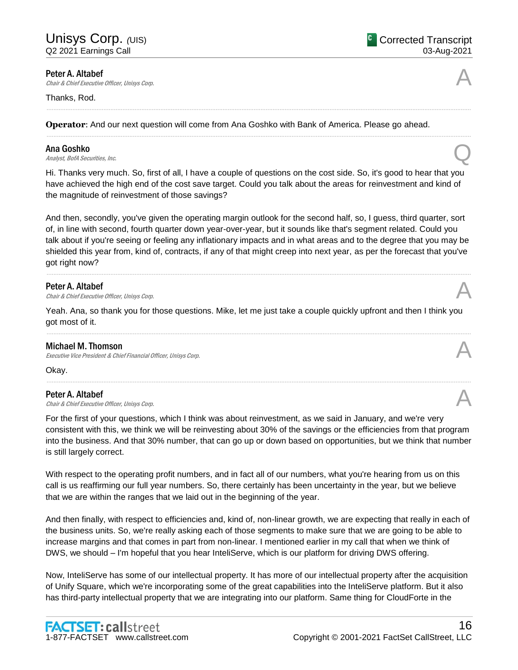Peter A. Altabef<br>Chair & Chief Executive Officer, Unisys Corp. **Peter A. Altabef Chair & Chief Executive Officer, Unisys Corp.**  $\mathcal{A}$ 

# Thanks, Rod.

**Operator**: And our next question will come from Ana Goshko with Bank of America. Please go ahead.

# Ana Goshko

**Ana Goshko**<br>Analyst, BofA Securities, Inc.  $\bigotimes$ 

Hi. Thanks very much. So, first of all, I have a couple of questions on the cost side. So, it's good to hear that you have achieved the high end of the cost save target. Could you talk about the areas for reinvestment and kind of the magnitude of reinvestment of those savings?

......................................................................................................................................................................................................................................................

......................................................................................................................................................................................................................................................

And then, secondly, you've given the operating margin outlook for the second half, so, I guess, third quarter, sort of, in line with second, fourth quarter down year-over-year, but it sounds like that's segment related. Could you talk about if you're seeing or feeling any inflationary impacts and in what areas and to the degree that you may be shielded this year from, kind of, contracts, if any of that might creep into next year, as per the forecast that you've got right now?

......................................................................................................................................................................................................................................................

# Peter A. Altabef

**Peter A. Altabef Chair & Chief Executive Officer, Unisys Corp.**  $\mathcal{A}$ 

Yeah. Ana, so thank you for those questions. Mike, let me just take a couple quickly upfront and then I think you got most of it. ......................................................................................................................................................................................................................................................

# Michael M. Thomson

Executive Vice President & Chief Financial Officer, Unisys Corp.

Okay.

# Peter A. Altabef

**Peter A. Altabef Chair & Chief Executive Officer, Unisys Corp.**  $\mathcal{A}$ 

For the first of your questions, which I think was about reinvestment, as we said in January, and we're very consistent with this, we think we will be reinvesting about 30% of the savings or the efficiencies from that program into the business. And that 30% number, that can go up or down based on opportunities, but we think that number is still largely correct.

......................................................................................................................................................................................................................................................

With respect to the operating profit numbers, and in fact all of our numbers, what you're hearing from us on this call is us reaffirming our full year numbers. So, there certainly has been uncertainty in the year, but we believe that we are within the ranges that we laid out in the beginning of the year.

And then finally, with respect to efficiencies and, kind of, non-linear growth, we are expecting that really in each of the business units. So, we're really asking each of those segments to make sure that we are going to be able to increase margins and that comes in part from non-linear. I mentioned earlier in my call that when we think of DWS, we should – I'm hopeful that you hear InteliServe, which is our platform for driving DWS offering.

Now, InteliServe has some of our intellectual property. It has more of our intellectual property after the acquisition of Unify Square, which we're incorporating some of the great capabilities into the InteliServe platform. But it also has third-party intellectual property that we are integrating into our platform. Same thing for CloudForte in the





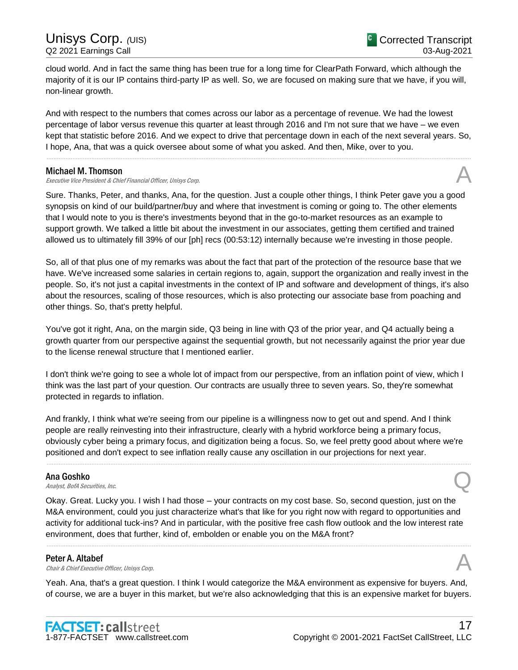cloud world. And in fact the same thing has been true for a long time for ClearPath Forward, which although the majority of it is our IP contains third-party IP as well. So, we are focused on making sure that we have, if you will, non-linear growth.

And with respect to the numbers that comes across our labor as a percentage of revenue. We had the lowest percentage of labor versus revenue this quarter at least through 2016 and I'm not sure that we have – we even kept that statistic before 2016. And we expect to drive that percentage down in each of the next several years. So, I hope, Ana, that was a quick oversee about some of what you asked. And then, Mike, over to you.

......................................................................................................................................................................................................................................................

# Michael M. Thomson

Executive Vice President & Chief Financial Officer, Unisys Corp.

Sure. Thanks, Peter, and thanks, Ana, for the question. Just a couple other things, I think Peter gave you a good synopsis on kind of our build/partner/buy and where that investment is coming or going to. The other elements that I would note to you is there's investments beyond that in the go-to-market resources as an example to support growth. We talked a little bit about the investment in our associates, getting them certified and trained allowed us to ultimately fill 39% of our [ph] recs (00:53:12) internally because we're investing in those people.

So, all of that plus one of my remarks was about the fact that part of the protection of the resource base that we have. We've increased some salaries in certain regions to, again, support the organization and really invest in the people. So, it's not just a capital investments in the context of IP and software and development of things, it's also about the resources, scaling of those resources, which is also protecting our associate base from poaching and other things. So, that's pretty helpful.

You've got it right, Ana, on the margin side, Q3 being in line with Q3 of the prior year, and Q4 actually being a growth quarter from our perspective against the sequential growth, but not necessarily against the prior year due to the license renewal structure that I mentioned earlier.

I don't think we're going to see a whole lot of impact from our perspective, from an inflation point of view, which I think was the last part of your question. Our contracts are usually three to seven years. So, they're somewhat protected in regards to inflation.

And frankly, I think what we're seeing from our pipeline is a willingness now to get out and spend. And I think people are really reinvesting into their infrastructure, clearly with a hybrid workforce being a primary focus, obviously cyber being a primary focus, and digitization being a focus. So, we feel pretty good about where we're positioned and don't expect to see inflation really cause any oscillation in our projections for next year.

......................................................................................................................................................................................................................................................

# Ana Goshko

**Ana Goshko**<br>Analyst, BofA Securities, Inc.  $\bigotimes$ 

Okay. Great. Lucky you. I wish I had those – your contracts on my cost base. So, second question, just on the M&A environment, could you just characterize what's that like for you right now with regard to opportunities and activity for additional tuck-ins? And in particular, with the positive free cash flow outlook and the low interest rate environment, does that further, kind of, embolden or enable you on the M&A front?

Peter A. Altabef<br>Chair & Chief Executive Officer, Unisys Corp. **Peter A. Altabef Chair & Chief Executive Officer, Unisys Corp.**  $\mathcal{A}$ 

Yeah. Ana, that's a great question. I think I would categorize the M&A environment as expensive for buyers. And, of course, we are a buyer in this market, but we're also acknowledging that this is an expensive market for buyers.

......................................................................................................................................................................................................................................................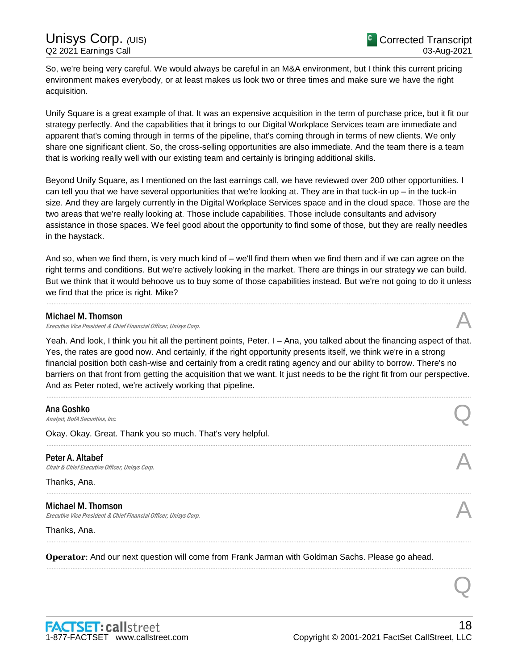So, we're being very careful. We would always be careful in an M&A environment, but I think this current pricing environment makes everybody, or at least makes us look two or three times and make sure we have the right acquisition.

Unify Square is a great example of that. It was an expensive acquisition in the term of purchase price, but it fit our strategy perfectly. And the capabilities that it brings to our Digital Workplace Services team are immediate and apparent that's coming through in terms of the pipeline, that's coming through in terms of new clients. We only share one significant client. So, the cross-selling opportunities are also immediate. And the team there is a team that is working really well with our existing team and certainly is bringing additional skills.

Beyond Unify Square, as I mentioned on the last earnings call, we have reviewed over 200 other opportunities. I can tell you that we have several opportunities that we're looking at. They are in that tuck-in up – in the tuck-in size. And they are largely currently in the Digital Workplace Services space and in the cloud space. Those are the two areas that we're really looking at. Those include capabilities. Those include consultants and advisory assistance in those spaces. We feel good about the opportunity to find some of those, but they are really needles in the haystack.

And so, when we find them, is very much kind of – we'll find them when we find them and if we can agree on the right terms and conditions. But we're actively looking in the market. There are things in our strategy we can build. But we think that it would behoove us to buy some of those capabilities instead. But we're not going to do it unless we find that the price is right. Mike?

......................................................................................................................................................................................................................................................

# Michael M. Thomson

Executive Vice President & Chief Financial Officer, Unisys Corp.

Yeah. And look, I think you hit all the pertinent points, Peter. I – Ana, you talked about the financing aspect of that. Yes, the rates are good now. And certainly, if the right opportunity presents itself, we think we're in a strong financial position both cash-wise and certainly from a credit rating agency and our ability to borrow. There's no barriers on that front from getting the acquisition that we want. It just needs to be the right fit from our perspective. And as Peter noted, we're actively working that pipeline.

......................................................................................................................................................................................................................................................

......................................................................................................................................................................................................................................................

......................................................................................................................................................................................................................................................

......................................................................................................................................................................................................................................................

......................................................................................................................................................................................................................................................

**Ana Goshko**<br>*Analyst, BofA Securities, Inc.* **Ana Goshko**<br>Analyst, BofA Securities, Inc.  $\bigotimes$ 

Okay. Okay. Great. Thank you so much. That's very helpful.

Peter A. Altabef **Peter A. Altabef**  $\bigwedge$  *Chair & Chief Executive Officer, Unisys Corp.* 

Thanks, Ana.

# Michael M. Thomson

Executive Vice President & Chief Financial Officer, Unisys Corp.

Thanks, Ana.

**Operator**: And our next question will come from Frank Jarman with Goldman Sachs. Please go ahead.

Q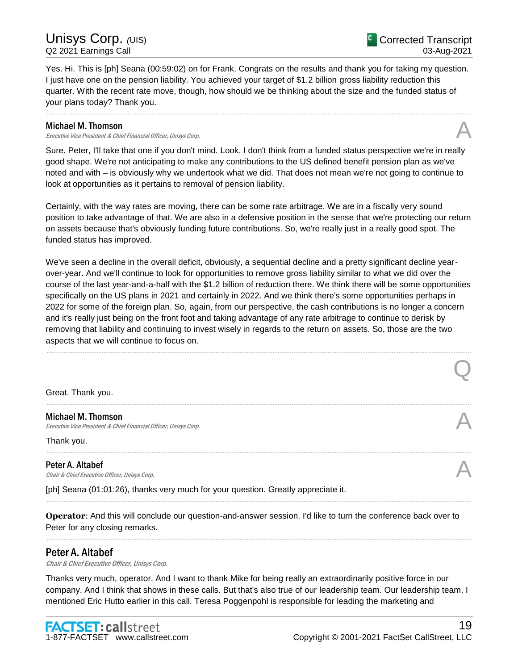Q

Yes. Hi. This is [ph] Seana (00:59:02) on for Frank. Congrats on the results and thank you for taking my question. I just have one on the pension liability. You achieved your target of \$1.2 billion gross liability reduction this quarter. With the recent rate move, though, how should we be thinking about the size and the funded status of your plans today? Thank you.

......................................................................................................................................................................................................................................................

# Michael M. Thomson

Executive Vice President & Chief Financial Officer, Unisys Corp.

Sure. Peter, I'll take that one if you don't mind. Look, I don't think from a funded status perspective we're in really good shape. We're not anticipating to make any contributions to the US defined benefit pension plan as we've noted and with – is obviously why we undertook what we did. That does not mean we're not going to continue to look at opportunities as it pertains to removal of pension liability.

Certainly, with the way rates are moving, there can be some rate arbitrage. We are in a fiscally very sound position to take advantage of that. We are also in a defensive position in the sense that we're protecting our return on assets because that's obviously funding future contributions. So, we're really just in a really good spot. The funded status has improved.

We've seen a decline in the overall deficit, obviously, a sequential decline and a pretty significant decline yearover-year. And we'll continue to look for opportunities to remove gross liability similar to what we did over the course of the last year-and-a-half with the \$1.2 billion of reduction there. We think there will be some opportunities specifically on the US plans in 2021 and certainly in 2022. And we think there's some opportunities perhaps in 2022 for some of the foreign plan. So, again, from our perspective, the cash contributions is no longer a concern and it's really just being on the front foot and taking advantage of any rate arbitrage to continue to derisk by removing that liability and continuing to invest wisely in regards to the return on assets. So, those are the two aspects that we will continue to focus on.

......................................................................................................................................................................................................................................................

......................................................................................................................................................................................................................................................

......................................................................................................................................................................................................................................................

......................................................................................................................................................................................................................................................

......................................................................................................................................................................................................................................................

Great. Thank you.

Michael M. Thomson Executive Vice President & Chief Financial Officer, Unisys Corp.

Thank you.

Peter A. Altabef<br>Chair & Chief Executive Officer, Unisys Corp. **Peter A. Altabef Chair & Chief Executive Officer, Unisys Corp.**  $\mathcal{A}$ 

[ph] Seana (01:01:26), thanks very much for your question. Greatly appreciate it.

**Operator**: And this will conclude our question-and-answer session. I'd like to turn the conference back over to Peter for any closing remarks.

# Peter A. Altabef

Chair & Chief Executive Officer, Unisys Corp.

Thanks very much, operator. And I want to thank Mike for being really an extraordinarily positive force in our company. And I think that shows in these calls. But that's also true of our leadership team. Our leadership team, I mentioned Eric Hutto earlier in this call. Teresa Poggenpohl is responsible for leading the marketing and